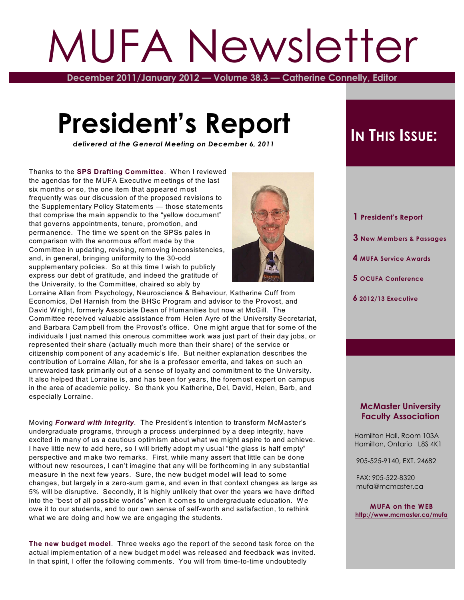# MUFA Newsletter

**December 2011/January 2012 — Volume 38.3 — Catherine Connelly, Editor**

# **President's Report**

*delivered at the General Meeting on December 6, 2011*

Thanks to the **SPS Drafting Committee**. W hen I reviewed the agendas for the MUFA Executive meetings of the last six months or so, the one item that appeared most frequently was our discussion of the proposed revisions to the Supplementary Policy Statements — those statements that comprise the main appendix to the "yellow document" that governs appointments, tenure, promotion, and permanence. The time we spent on the SPSs pales in comparison with the enormous effort made by the Committee in updating, revising, removing inconsistencies, and, in general, bringing uniformity to the 30-odd supplementary policies. So at this time I wish to publicly express our debt of gratitude, and indeed the gratitude of the University, to the Committee, chaired so ably by



Lorraine Allan from Psychology, Neuroscience & Behaviour, Katherine Cuff from Economics, Del Harnish from the BHSc Program and advisor to the Provost, and David W right, formerly Associate Dean of Humanities but now at McGill. The Committee received valuable assistance from Helen Ayre of the University Secretariat, and Barbara Campbell from the Provost's office. One might argue that for some of the individuals I just named this onerous committee work was just part of their day jobs, or represented their share (actually much more than their share) of the service or citizenship component of any academic's life. But neither explanation describes the contribution of Lorraine Allan, for she is a professor emerita, and takes on such an unrewarded task primarily out of a sense of loyalty and commitment to the University. It also helped that Lorraine is, and has been for years, the foremost expert on campus in the area of academic policy. So thank you Katherine, Del, David, Helen, Barb, and especially Lorraine.

Moving *Forward with Integrity.* The President's intention to transform McMaster's undergraduate programs, through a process underpinned by a deep integrity, have excited in many of us a cautious optimism about what we might aspire to and achieve. I have little new to add here, so I will briefly adopt my usual "the glass is half empty" perspective and make two remarks. First, while many assert that little can be done without new resources, I can't imagine that any will be forthcoming in any substantial measure in the next few years. Sure, the new budget model will lead to some changes, but largely in a zero-sum game, and even in that context changes as large as 5% will be disruptive. Secondly, it is highly unlikely that over the years we have drifted into the "best of all possible worlds" when it comes to undergraduate education. W e owe it to our students, and to our own sense of self-worth and satisfaction, to rethink what we are doing and how we are engaging the students.

**The new budget model**. Three weeks ago the report of the second task force on the actual implementation of a new budget model was released and feedback was invited. In that spirit, I offer the following comments. You will from time-to-time undoubtedly

# **IN THIS ISSUE:**

 **3 New Members & Passages 4 MUFA Service Awards**

 **5 OCUFA Conference**

 **1 President's Report**

 **6 2012/13 Executive**

### **McMaster University Faculty Association**

 Hamilton Hall, Room 103A Hamilton, Ontario L8S 4K1

905-525-9140, EXT. 24682

 FAX: 905-522-8320 mufa@mcmaster.ca

**MUFA on the WEB <http://www.mcmaster.ca/mufa>**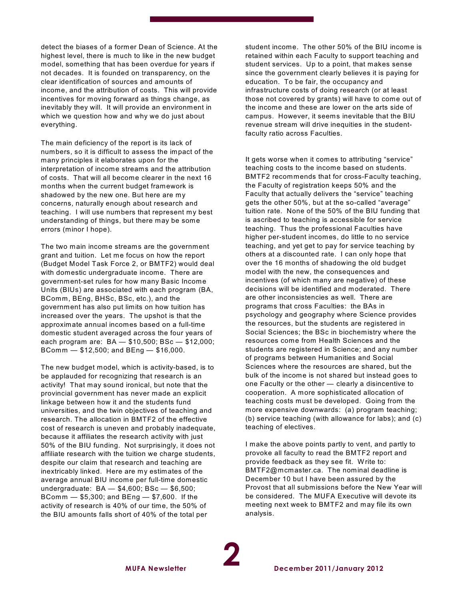detect the biases of a former Dean of Science. At the highest level, there is much to like in the new budget model, something that has been overdue for years if not decades. It is founded on transparency, on the clear identification of sources and amounts of income, and the attribution of costs. This will provide incentives for moving forward as things change, as inevitably they will. It will provide an environment in which we question how and why we do just about everything.

The main deficiency of the report is its lack of numbers, so it is difficult to assess the impact of the many principles it elaborates upon for the interpretation of income streams and the attribution of costs. That will all become clearer in the next 16 months when the current budget framework is shadowed by the new one. But here are my concerns, naturally enough about research and teaching. I will use numbers that represent my best understanding of things, but there may be some errors (minor I hope).

The two main income streams are the government grant and tuition. Let me focus on how the report (Budget Model Task Force 2, or BMTF2) would deal with domestic undergraduate income. There are government-set rules for how many Basic Income Units (BIUs) are associated with each program (BA, BComm, BEng, BHSc, BSc, etc.), and the government has also put limits on how tuition has increased over the years. The upshot is that the approximate annual incomes based on a full-time domestic student averaged across the four years of each program are: BA — \$10,500; BSc — \$12,000; BComm — \$12,500; and BEng — \$16,000.

The new budget model, which is activity-based, is to be applauded for recognizing that research is an activity! That may sound ironical, but note that the provincial government has never made an explicit linkage between how it and the students fund universities, and the twin objectives of teaching and research. The allocation in BMTF2 of the effective cost of research is uneven and probably inadequate, because it affiliates the research activity with just 50% of the BIU funding. Not surprisingly, it does not affiliate research with the tuition we charge students, despite our claim that research and teaching are inextricably linked. Here are my estimates of the average annual BIU income per full-time domestic undergraduate: BA — \$4,600; BSc — \$6,500; BComm — \$5,300; and BEng — \$7,600. If the activity of research is 40% of our time, the 50% of the BIU amounts falls short of 40% of the total per

student income. The other 50% of the BIU income is retained within each Faculty to support teaching and student services. Up to a point, that makes sense since the government clearly believes it is paying for education. To be fair, the occupancy and infrastructure costs of doing research (or at least those not covered by grants) will have to come out of the income and these are lower on the arts side of campus. However, it seems inevitable that the BIU revenue stream will drive inequities in the studentfaculty ratio across Faculties.

It gets worse when it comes to attributing "service" teaching costs to the income based on students. BMTF2 recommends that for cross-Faculty teaching, the Faculty of registration keeps 50% and the Faculty that actually delivers the "service" teaching gets the other 50%, but at the so-called "average" tuition rate. None of the 50% of the BIU funding that is ascribed to teaching is accessible for service teaching. Thus the professional Faculties have higher per-student incomes, do little to no service teaching, and yet get to pay for service teaching by others at a discounted rate. I can only hope that over the 16 months of shadowing the old budget model with the new, the consequences and incentives (of which many are negative) of these decisions will be identified and moderated. There are other inconsistencies as well. There are programs that cross Faculties: the BAs in psychology and geography where Science provides the resources, but the students are registered in Social Sciences; the BSc in biochemistry where the resources come from Health Sciences and the students are registered in Science; and any number of programs between Humanities and Social Sciences where the resources are shared, but the bulk of the income is not shared but instead goes to one Faculty or the other — clearly a disincentive to cooperation. A more sophisticated allocation of teaching costs must be developed. Going from the more expensive downwards: (a) program teaching; (b) service teaching (with allowance for labs); and (c) teaching of electives.

I make the above points partly to vent, and partly to provoke all faculty to read the BMTF2 report and provide feedback as they see fit. W rite to: BMTF2@mcmaster.ca. The nominal deadline is December 10 but I have been assured by the Provost that all submissions before the New Year will be considered. The MUFA Executive will devote its meeting next week to BMTF2 and may file its own analysis.

**2**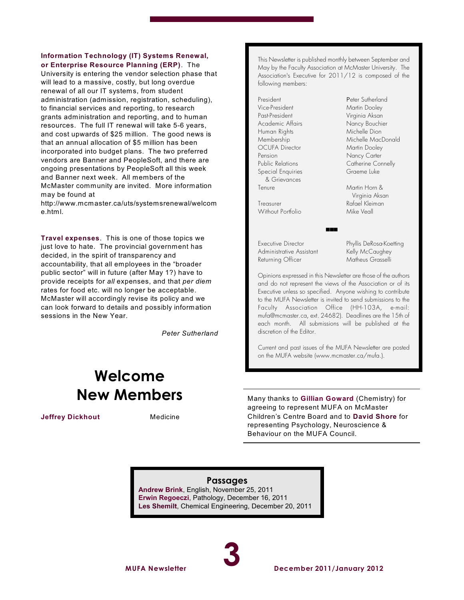#### **Information Technology (IT) Systems Renewal, or Enterprise Resource Planning (ERP)**. The

University is entering the vendor selection phase that will lead to a massive, costly, but long overdue renewal of all our IT systems, from student administration (admission, registration, scheduling), to financial services and reporting, to research grants administration and reporting, and to human resources. The full IT renewal will take 5-6 years, and cost upwards of \$25 million. The good news is that an annual allocation of \$5 million has been incorporated into budget plans. The two preferred vendors are Banner and PeopleSoft, and there are ongoing presentations by PeopleSoft all this week and Banner next week. All members of the McMaster community are invited. More information may be found at

http://www.mcmaster.ca/uts/systemsrenewal/welcom e.html.

**Travel expenses**. This is one of those topics we just love to hate. The provincial government has decided, in the spirit of transparency and accountability, that all employees in the "broader public sector" will in future (after May 1?) have to provide receipts for *all* expenses, and that *per diem* rates for food etc. will no longer be acceptable. McMaster will accordingly revise its policy and we can look forward to details and possibly information sessions in the New Year.

*Peter Sutherland*

# **Welcome New Members**

**Jeffrey Dickhout** Medicine

This Newsletter is published monthly between September and May by the Faculty Association at McMaster University. The Association's Executive for 2011/12 is composed of the following members:

President Peter Sutherland Vice-President Martin Dooley Past-President Virginia Aksan Academic Affairs Nancy Bouchier Human Rights Michelle Dion Membership Michelle MacDonald OCUFA Director Martin Dooley Pension Nancy Carter Public Relations Catherine Connelly Special Enquiries Graeme Luke & Grievances Tenure Martin Horn &

Treasurer Rafael Kleiman Without Portfolio Mike Veall

Executive Director Phyllis DeRosa-Koetting Administrative Assistant Kelly McCaughey Returning Officer Matheus Grasselli

Virginia Aksan

Opinions expressed in this Newsletter are those of the authors and do not represent the views of the Association or of its Executive unless so specified. Anyone wishing to contribute to the MUFA *Newsletter* is invited to send submissions to the Faculty Association Office (HH-103A, e-mail: mufa@mcmaster.ca, ext. 24682). Deadlines are the 15th of each month. All submissions will be published at the discretion of the Editor.

 $\sim$ 

Current and past issues of the MUFA *Newsletter* are posted on the MUFA website (www.mcmaster.ca/mufa.).

Many thanks to **Gillian Goward** (Chemistry) for agreeing to represent MUFA on McMaster Children's Centre Board and to **David Shore** for representing Psychology, Neuroscience & Behaviour on the MUFA Council.

### **Passages**

**Andrew Brink**, English, November 25, 2011 **Erwin Regoeczi**, Pathology, December 16, 2011 **Les Shemilt**, Chemical Engineering, December 20, 2011

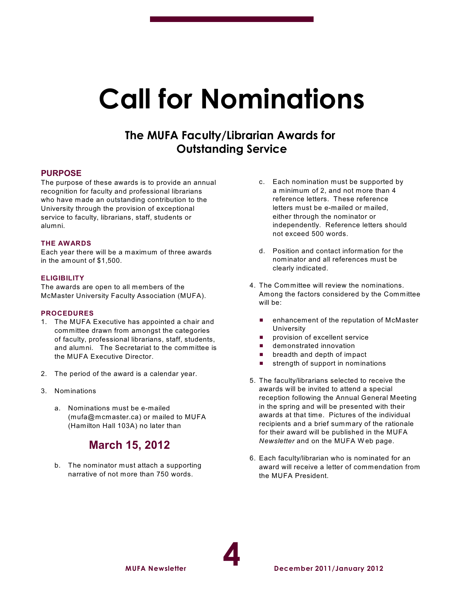# **Call for Nominations**

# **The MUFA Faculty/Librarian Awards for Outstanding Service**

#### **PURPOSE**

The purpose of these awards is to provide an annual recognition for faculty and professional librarians who have made an outstanding contribution to the University through the provision of exceptional service to faculty, librarians, staff, students or alumni.

#### **THE AWARDS**

Each year there will be a maximum of three awards in the amount of \$1,500.

#### **ELIGIBILITY**

The awards are open to all members of the McMaster University Faculty Association (MUFA).

#### **PROCEDURES**

- 1. The MUFA Executive has appointed a chair and committee drawn from amongst the categories of faculty, professional librarians, staff, students, and alumni. The Secretariat to the committee is the MUFA Executive Director.
- 2. The period of the award is a calendar year.
- 3. Nominations
	- a. Nominations must be e-mailed (mufa@mcmaster.ca) or mailed to MUFA (Hamilton Hall 103A) no later than

# **March 15, 2012**

b. The nominator must attach a supporting narrative of not more than 750 words.

**MUFA Newsletter**

- c. Each nomination must be supported by a minimum of 2, and not more than 4 reference letters. These reference letters must be e-mailed or mailed, either through the nominator or independently. Reference letters should not exceed 500 words.
- d. Position and contact information for the nominator and all references must be clearly indicated.
- 4. The Committee will review the nominations. Among the factors considered by the Committee will be:
	- **E** enhancement of the reputation of McMaster University
	- **Paragelent service**
	- **E** demonstrated innovation
	- $\blacksquare$  breadth and depth of impact
	- $\blacksquare$  strength of support in nominations
- 5. The faculty/librarians selected to receive the awards will be invited to attend a special reception following the Annual General Meeting in the spring and will be presented with their awards at that time. Pictures of the individual recipients and a brief summary of the rationale for their award will be published in the MUFA *Newsletter* and on the MUFA W eb page.
- 6. Each faculty/librarian who is nominated for an award will receive a letter of commendation from the MUFA President.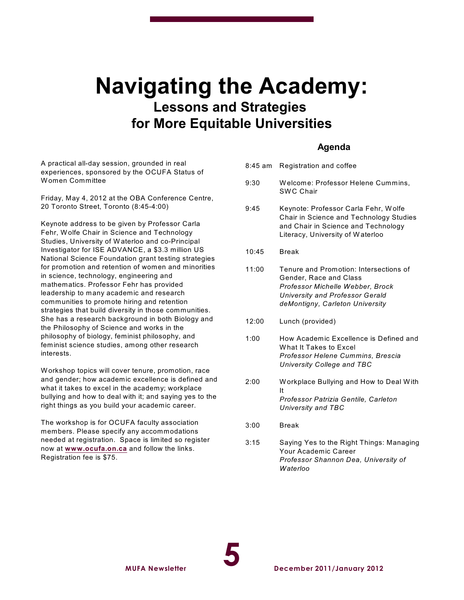# **Navigating the Academy: Lessons and Strategies for More Equitable Universities**

## **Agenda**

A practical all-day session, grounded in real experiences, sponsored by the OCUFA Status of W omen Committee

Friday, May 4, 2012 at the OBA Conference Centre, 20 Toronto Street, Toronto (8:45-4:00)

Keynote address to be given by Professor Carla Fehr, Wolfe Chair in Science and Technology Studies, University of W aterloo and co-Principal Investigator for ISE ADVANCE, a \$3.3 million US National Science Foundation grant testing strategies for promotion and retention of women and minorities in science, technology, engineering and mathematics. Professor Fehr has provided leadership to many academic and research communities to promote hiring and retention strategies that build diversity in those communities. She has a research background in both Biology and the Philosophy of Science and works in the philosophy of biology, feminist philosophy, and feminist science studies, among other research interests.

W orkshop topics will cover tenure, promotion, race and gender; how academic excellence is defined and what it takes to excel in the academy; workplace bullying and how to deal with it; and saying yes to the right things as you build your academic career.

The workshop is for OCUFA faculty association members. Please specify any accommodations needed at registration. Space is limited so register now at **[www.ocufa.on.ca](http://www.ocufa.on.ca)** and follow the links. Registration fee is \$75.

**MUFA Newsletter**

- 8:45 am Registration and coffee
- 9:30 W elcome: Professor Helene Cummins, **SWC Chair**
- 9:45 Keynote: Professor Carla Fehr, W olfe Chair in Science and Technology Studies and Chair in Science and Technology Literacy, University of W aterloo
- 10:45 Break
- 11:00 Tenure and Promotion: Intersections of Gender, Race and Class *Professor Michelle Webber, Brock University and Professor Gerald deMontigny, Carleton University*
- 12:00 Lunch (provided)
- 1:00 How Academic Excellence is Defined and W hat It Takes to Excel *Professor Helene Cummins, Brescia University College and TBC*
- 2:00 W orkplace Bullying and How to Deal W ith It *Professor Patrizia Gentile, Carleton University and TBC*
- 3:00 Break
- 3:15 Saying Yes to the Right Things: Managing Your Academic Career *Professor Shannon Dea, University of Waterloo*